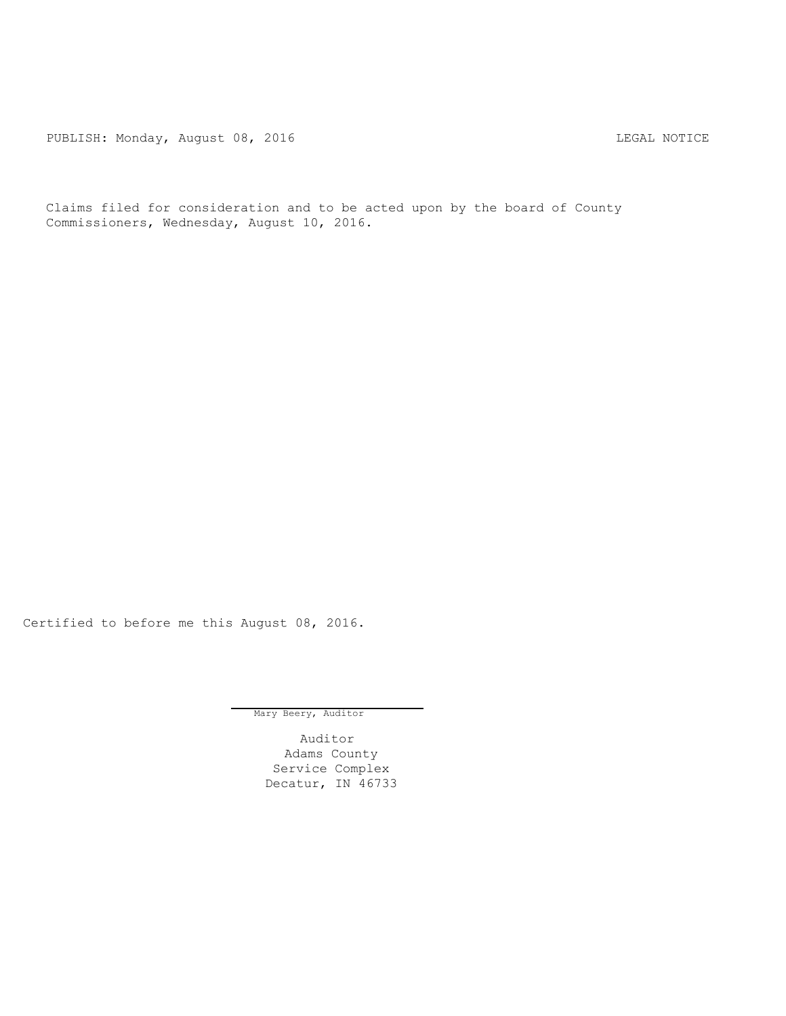PUBLISH: Monday, August 08, 2016 CHA CHANGE CONTROLLY AND THE LEGAL NOTICE

Claims filed for consideration and to be acted upon by the board of County Commissioners, Wednesday, August 10, 2016.

Certified to before me this August 08, 2016.

Mary Beery, Auditor

Auditor Adams County Service Complex Decatur, IN 46733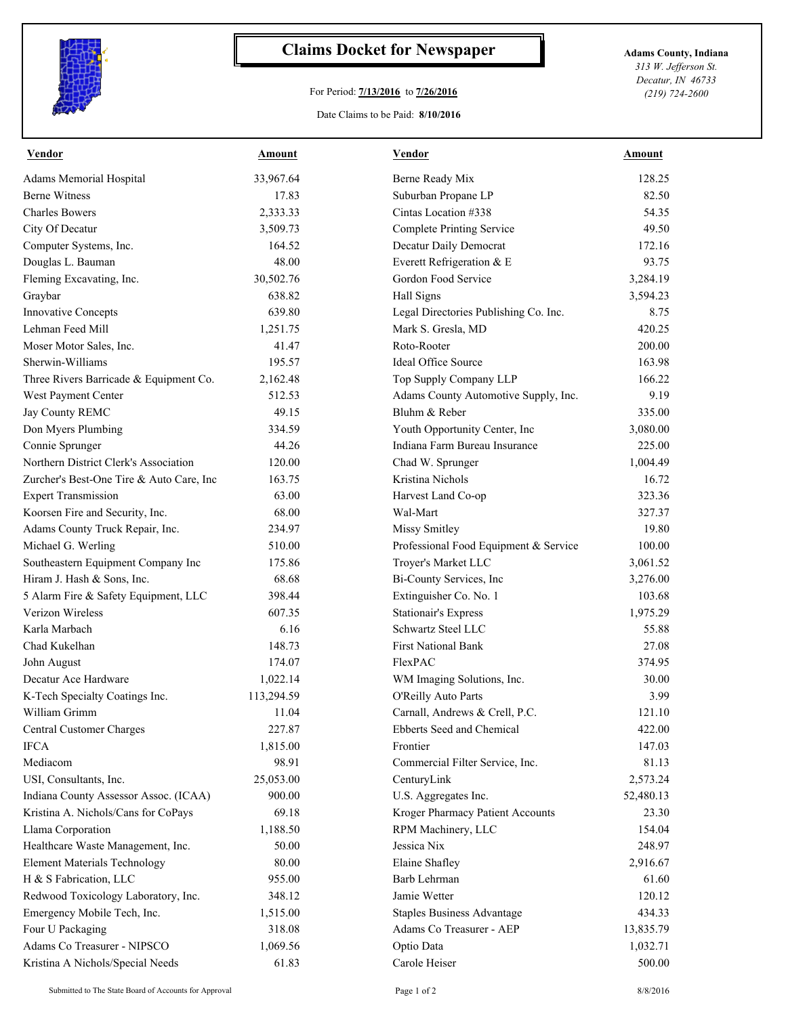

## **Claims Docket for Newspaper Adams County, Indiana**

## For Period: **7/13/2016** to **7/26/2016**

Date Claims to be Paid: **8/10/2016**

*313 W. Jefferson St. Decatur, IN 46733 (219) 724-2600*

| Vendor                                   | <b>Amount</b> | <b>Vendor</b>                         | Amount    |
|------------------------------------------|---------------|---------------------------------------|-----------|
| Adams Memorial Hospital                  | 33,967.64     | Berne Ready Mix                       | 128.25    |
| <b>Berne Witness</b>                     | 17.83         | Suburban Propane LP                   | 82.50     |
| <b>Charles Bowers</b>                    | 2,333.33      | Cintas Location #338                  | 54.35     |
| City Of Decatur                          | 3,509.73      | Complete Printing Service             | 49.50     |
| Computer Systems, Inc.                   | 164.52        | Decatur Daily Democrat                | 172.16    |
| Douglas L. Bauman                        | 48.00         | Everett Refrigeration & E             | 93.75     |
| Fleming Excavating, Inc.                 | 30,502.76     | Gordon Food Service                   | 3,284.19  |
| Graybar                                  | 638.82        | Hall Signs                            | 3,594.23  |
| Innovative Concepts                      | 639.80        | Legal Directories Publishing Co. Inc. | 8.75      |
| Lehman Feed Mill                         | 1,251.75      | Mark S. Gresla, MD                    | 420.25    |
| Moser Motor Sales, Inc.                  | 41.47         | Roto-Rooter                           | 200.00    |
| Sherwin-Williams                         | 195.57        | Ideal Office Source                   | 163.98    |
| Three Rivers Barricade & Equipment Co.   | 2,162.48      | Top Supply Company LLP                | 166.22    |
| West Payment Center                      | 512.53        | Adams County Automotive Supply, Inc.  | 9.19      |
| Jay County REMC                          | 49.15         | Bluhm & Reber                         | 335.00    |
| Don Myers Plumbing                       | 334.59        | Youth Opportunity Center, Inc         | 3,080.00  |
| Connie Sprunger                          | 44.26         | Indiana Farm Bureau Insurance         | 225.00    |
| Northern District Clerk's Association    | 120.00        | Chad W. Sprunger                      | 1,004.49  |
| Zurcher's Best-One Tire & Auto Care, Inc | 163.75        | Kristina Nichols                      | 16.72     |
| <b>Expert Transmission</b>               | 63.00         | Harvest Land Co-op                    | 323.36    |
| Koorsen Fire and Security, Inc.          | 68.00         | Wal-Mart                              | 327.37    |
| Adams County Truck Repair, Inc.          | 234.97        | Missy Smitley                         | 19.80     |
| Michael G. Werling                       | 510.00        | Professional Food Equipment & Service | 100.00    |
| Southeastern Equipment Company Inc       | 175.86        | Troyer's Market LLC                   | 3,061.52  |
| Hiram J. Hash & Sons, Inc.               | 68.68         | Bi-County Services, Inc               | 3,276.00  |
| 5 Alarm Fire & Safety Equipment, LLC     | 398.44        | Extinguisher Co. No. 1                | 103.68    |
| Verizon Wireless                         | 607.35        | <b>Stationair's Express</b>           | 1,975.29  |
| Karla Marbach                            | 6.16          | Schwartz Steel LLC                    | 55.88     |
| Chad Kukelhan                            | 148.73        | <b>First National Bank</b>            | 27.08     |
| John August                              | 174.07        | FlexPAC                               | 374.95    |
| Decatur Ace Hardware                     | 1,022.14      | WM Imaging Solutions, Inc.            | 30.00     |
| K-Tech Specialty Coatings Inc.           | 113,294.59    | O'Reilly Auto Parts                   | 3.99      |
| William Grimm                            | 11.04         | Carnall, Andrews & Crell, P.C.        | 121.10    |
| Central Customer Charges                 | 227.87        | Ebberts Seed and Chemical             | 422.00    |
| <b>IFCA</b>                              | 1,815.00      | Frontier                              | 147.03    |
| Mediacom                                 | 98.91         | Commercial Filter Service, Inc.       | 81.13     |
| USI, Consultants, Inc.                   | 25,053.00     | CenturyLink                           | 2,573.24  |
| Indiana County Assessor Assoc. (ICAA)    | 900.00        | U.S. Aggregates Inc.                  | 52,480.13 |
| Kristina A. Nichols/Cans for CoPays      | 69.18         | Kroger Pharmacy Patient Accounts      | 23.30     |
| Llama Corporation                        | 1,188.50      | RPM Machinery, LLC                    | 154.04    |
| Healthcare Waste Management, Inc.        | 50.00         | Jessica Nix                           | 248.97    |
| <b>Element Materials Technology</b>      | 80.00         | Elaine Shafley                        | 2,916.67  |
| H & S Fabrication, LLC                   | 955.00        | Barb Lehrman                          | 61.60     |
| Redwood Toxicology Laboratory, Inc.      | 348.12        | Jamie Wetter                          | 120.12    |
| Emergency Mobile Tech, Inc.              | 1,515.00      | <b>Staples Business Advantage</b>     | 434.33    |
| Four U Packaging                         | 318.08        | Adams Co Treasurer - AEP              | 13,835.79 |
| Adams Co Treasurer - NIPSCO              | 1,069.56      | Optio Data                            | 1,032.71  |
| Kristina A Nichols/Special Needs         | 61.83         | Carole Heiser                         | 500.00    |
|                                          |               |                                       |           |